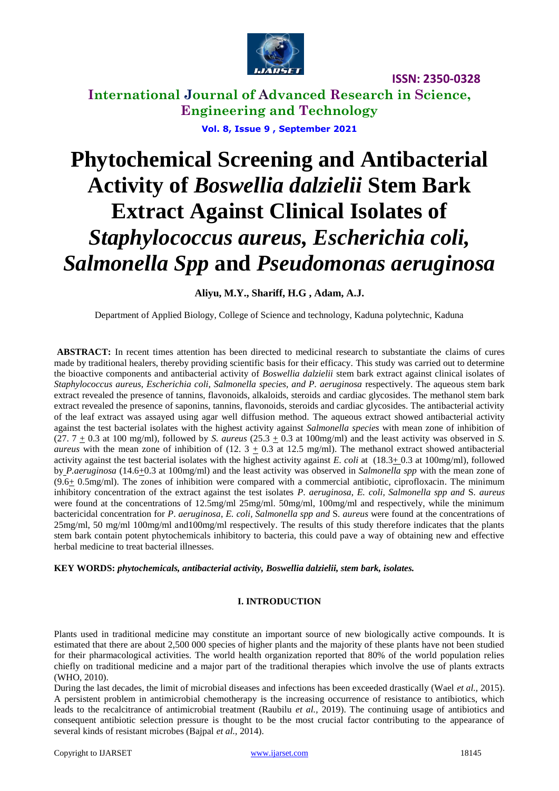

**International Journal of Advanced Research in Science, Engineering and Technology Vol. 8, Issue 9 , September 2021**

# **Phytochemical Screening and Antibacterial Activity of** *Boswellia dalzielii* **Stem Bark Extract Against Clinical Isolates of**  *Staphylococcus aureus, Escherichia coli, Salmonella Spp* **and** *Pseudomonas aeruginosa*

#### **Aliyu, M.Y., Shariff, H.G , Adam, A.J.**

Department of Applied Biology, College of Science and technology, Kaduna polytechnic, Kaduna

**ABSTRACT:** In recent times attention has been directed to medicinal research to substantiate the claims of cures made by traditional healers, thereby providing scientific basis for their efficacy. This study was carried out to determine the bioactive components and antibacterial activity of *Boswellia dalzielii* stem bark extract against clinical isolates of *Staphylococcus aureus*, *Escherichia coli*, *Salmonella species, and P. aeruginosa* respectively. The aqueous stem bark extract revealed the presence of tannins, flavonoids, alkaloids, steroids and cardiac glycosides. The methanol stem bark extract revealed the presence of saponins, tannins, flavonoids, steroids and cardiac glycosides. The antibacterial activity of the leaf extract was assayed using agar well diffusion method. The aqueous extract showed antibacterial activity against the test bacterial isolates with the highest activity against *Salmonella species* with mean zone of inhibition of  $(27.7 \pm 0.3$  at 100 mg/ml), followed by *S. aureus*  $(25.3 \pm 0.3$  at 100mg/ml) and the least activity was observed in *S. aureus* with the mean zone of inhibition of  $(12.3 + 0.3$  at 12.5 mg/ml). The methanol extract showed antibacterial activity against the test bacterial isolates with the highest activity against *E. coli* at  $(18.3 \pm 0.3$  at  $100$ mg/ml), followed by *P.aeruginosa* (14.6+0.3 at 100mg/ml) and the least activity was observed in *Salmonella spp* with the mean zone of (9.6+ 0.5mg/ml). The zones of inhibition were compared with a commercial antibiotic, ciprofloxacin. The minimum inhibitory concentration of the extract against the test isolates *P*. *aeruginosa*, *E. coli, Salmonella spp and* S*. aureus* were found at the concentrations of 12.5mg/ml 25mg/ml, 50mg/ml, 100mg/ml and respectively, while the minimum bactericidal concentration for *P*. *aeruginosa*, *E. coli, Salmonella spp and* S*. aureus* were found at the concentrations of 25mg/ml, 50 mg/ml 100mg/ml and100mg/ml respectively. The results of this study therefore indicates that the plants stem bark contain potent phytochemicals inhibitory to bacteria, this could pave a way of obtaining new and effective herbal medicine to treat bacterial illnesses.

**KEY WORDS:** *phytochemicals, antibacterial activity, Boswellia dalzielii, stem bark, isolates.*

#### **I. INTRODUCTION**

Plants used in traditional medicine may constitute an important source of new biologically active compounds. It is estimated that there are about 2,500 000 species of higher plants and the majority of these plants have not been studied for their pharmacological activities. The world health organization reported that 80% of the world population relies chiefly on traditional medicine and a major part of the traditional therapies which involve the use of plants extracts (WHO, 2010).

During the last decades, the limit of microbial diseases and infections has been exceeded drastically (Wael *et al.,* 2015). A persistent problem in antimicrobial chemotherapy is the increasing occurrence of resistance to antibiotics, which leads to the recalcitrance of antimicrobial treatment (Raubilu *et al.,* 2019). The continuing usage of antibiotics and consequent antibiotic selection pressure is thought to be the most crucial factor contributing to the appearance of several kinds of resistant microbes (Bajpal *et al.,* 2014).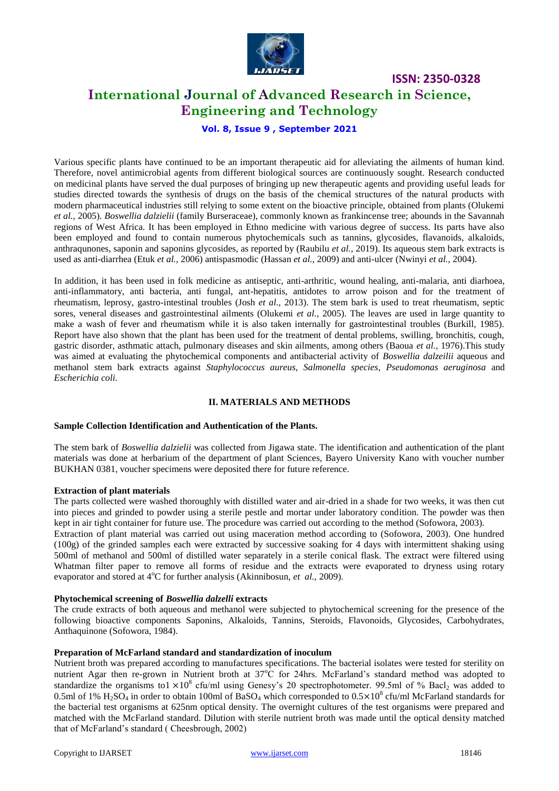

## **International Journal of Advanced Research in Science, Engineering and Technology**

**ISSN: 2350-0328**

#### **Vol. 8, Issue 9 , September 2021**

Various specific plants have continued to be an important therapeutic aid for alleviating the ailments of human kind. Therefore, novel antimicrobial agents from different biological sources are continuously sought. Research conducted on medicinal plants have served the dual purposes of bringing up new therapeutic agents and providing useful leads for studies directed towards the synthesis of drugs on the basis of the chemical structures of the natural products with modern pharmaceutical industries still relying to some extent on the bioactive principle, obtained from plants (Olukemi *et al.,* 2005). *Boswellia dalzielii* (family Burseraceae), commonly known as frankincense tree; abounds in the Savannah regions of West Africa. It has been employed in Ethno medicine with various degree of success. Its parts have also been employed and found to contain numerous phytochemicals such as tannins, glycosides, flavanoids, alkaloids, anthraqunones, saponin and saponins glycosides, as reported by (Raubilu *et al.,* 2019). Its aqueous stem bark extracts is used as anti-diarrhea (Etuk *et al.,* 2006) antispasmodic (Hassan *et al.,* 2009) and anti-ulcer (Nwinyi *et al.,* 2004).

In addition, it has been used in folk medicine as antiseptic, anti-arthritic, wound healing, anti-malaria, anti diarhoea, anti-inflammatory, anti bacteria, anti fungal, ant-hepatitis, antidotes to arrow poison and for the treatment of rheumatism, leprosy, gastro-intestinal troubles (Josh *et al.,* 2013). The stem bark is used to treat rheumatism, septic sores, veneral diseases and gastrointestinal ailments (Olukemi *et al.,* 2005). The leaves are used in large quantity to make a wash of fever and rheumatism while it is also taken internally for gastrointestinal troubles (Burkill, 1985). Report have also shown that the plant has been used for the treatment of dental problems, swilling, bronchitis, cough, gastric disorder, asthmatic attach, pulmonary diseases and skin ailments, among others (Baoua *et al.,* 1976).This study was aimed at evaluating the phytochemical components and antibacterial activity of *Boswellia dalzeilii* aqueous and methanol stem bark extracts against *Staphylococcus aureus, Salmonella species*, *Pseudomonas aeruginosa* and *Escherichia coli.*

#### **II. MATERIALS AND METHODS**

#### **Sample Collection Identification and Authentication of the Plants.**

The stem bark of *Boswellia dalzielii* was collected from Jigawa state. The identification and authentication of the plant materials was done at herbarium of the department of plant Sciences, Bayero University Kano with voucher number BUKHAN 0381, voucher specimens were deposited there for future reference.

#### **Extraction of plant materials**

The parts collected were washed thoroughly with distilled water and air-dried in a shade for two weeks, it was then cut into pieces and grinded to powder using a sterile pestle and mortar under laboratory condition. The powder was then kept in air tight container for future use. The procedure was carried out according to the method (Sofowora, 2003).

Extraction of plant material was carried out using maceration method according to (Sofowora, 2003). One hundred (100g) of the grinded samples each were extracted by successive soaking for 4 days with intermittent shaking using 500ml of methanol and 500ml of distilled water separately in a sterile conical flask. The extract were filtered using Whatman filter paper to remove all forms of residue and the extracts were evaporated to dryness using rotary evaporator and stored at 4<sup>o</sup>C for further analysis (Akinnibosun, *et al.*, 2009).

#### **Phytochemical screening of** *Boswellia dalzelli* **extracts**

The crude extracts of both aqueous and methanol were subjected to phytochemical screening for the presence of the following bioactive components Saponins, Alkaloids, Tannins, Steroids, Flavonoids, Glycosides, Carbohydrates, Anthaquinone (Sofowora, 1984).

#### **Preparation of McFarland standard and standardization of inoculum**

Nutrient broth was prepared according to manufactures specifications. The bacterial isolates were tested for sterility on nutrient Agar then re-grown in Nutrient broth at  $37^{\circ}C$  for 24hrs. McFarland's standard method was adopted to standardize the organisms to1  $\times$ 10<sup>8</sup> cfu/ml using Genesy's 20 spectrophotometer. 99.5ml of % Bacl<sub>2</sub> was added to 0.5ml of 1%  $H_2SO_4$  in order to obtain 100ml of BaSO<sub>4</sub> which corresponded to  $0.5 \times 10^8$  cfu/ml McFarland standards for the bacterial test organisms at 625nm optical density. The overnight cultures of the test organisms were prepared and matched with the McFarland standard. Dilution with sterile nutrient broth was made until the optical density matched that of McFarland's standard ( Cheesbrough, 2002)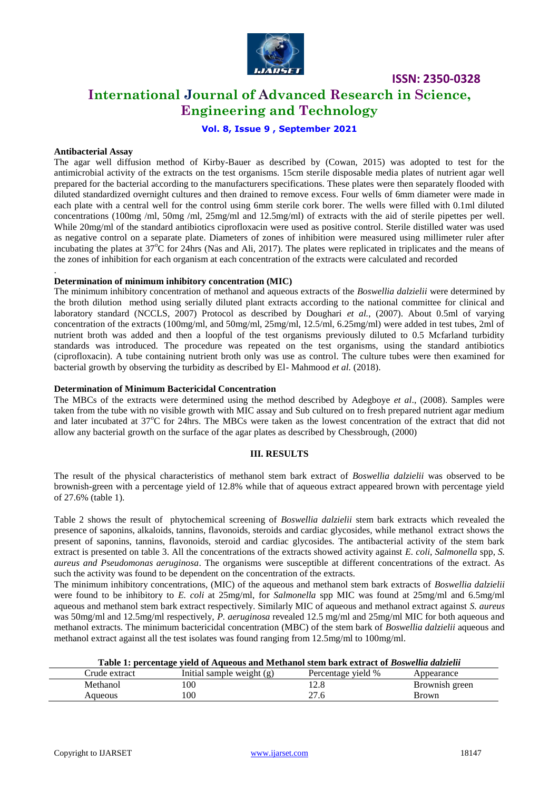

## **International Journal of Advanced Research in Science, Engineering and Technology**

#### **Vol. 8, Issue 9 , September 2021**

#### **Antibacterial Assay**

.

The agar well diffusion method of Kirby-Bauer as described by (Cowan, 2015) was adopted to test for the antimicrobial activity of the extracts on the test organisms. 15cm sterile disposable media plates of nutrient agar well prepared for the bacterial according to the manufacturers specifications. These plates were then separately flooded with diluted standardized overnight cultures and then drained to remove excess. Four wells of 6mm diameter were made in each plate with a central well for the control using 6mm sterile cork borer. The wells were filled with 0.1ml diluted concentrations (100mg /ml, 50mg /ml, 25mg/ml and 12.5mg/ml) of extracts with the aid of sterile pipettes per well. While 20mg/ml of the standard antibiotics ciprofloxacin were used as positive control. Sterile distilled water was used as negative control on a separate plate. Diameters of zones of inhibition were measured using millimeter ruler after incubating the plates at  $37^{\circ}$ C for 24hrs (Nas and Ali, 2017). The plates were replicated in triplicates and the means of the zones of inhibition for each organism at each concentration of the extracts were calculated and recorded

#### **Determination of minimum inhibitory concentration (MIC)**

The minimum inhibitory concentration of methanol and aqueous extracts of the *Boswellia dalzielii* were determined by the broth dilution method using serially diluted plant extracts according to the national committee for clinical and laboratory standard (NCCLS, 2007) Protocol as described by Doughari *et al.*, (2007). About 0.5ml of varying concentration of the extracts (100mg/ml, and 50mg/ml, 25mg/ml, 12.5/ml, 6.25mg/ml) were added in test tubes, 2ml of nutrient broth was added and then a loopful of the test organisms previously diluted to 0.5 Mcfarland turbidity standards was introduced. The procedure was repeated on the test organisms, using the standard antibiotics (ciprofloxacin). A tube containing nutrient broth only was use as control. The culture tubes were then examined for bacterial growth by observing the turbidity as described by El- Mahmood *et al.* (2018).

#### **Determination of Minimum Bactericidal Concentration**

The MBCs of the extracts were determined using the method described by Adegboye *et al*., (2008). Samples were taken from the tube with no visible growth with MIC assay and Sub cultured on to fresh prepared nutrient agar medium and later incubated at 37°C for 24hrs. The MBCs were taken as the lowest concentration of the extract that did not allow any bacterial growth on the surface of the agar plates as described by Chessbrough, (2000)

#### **III. RESULTS**

The result of the physical characteristics of methanol stem bark extract of *Boswellia dalzielii* was observed to be brownish-green with a percentage yield of 12.8% while that of aqueous extract appeared brown with percentage yield of 27.6% (table 1).

Table 2 shows the result of phytochemical screening of *Boswellia dalzielii* stem bark extracts which revealed the presence of saponins, alkaloids, tannins, flavonoids, steroids and cardiac glycosides, while methanol extract shows the present of saponins, tannins, flavonoids, steroid and cardiac glycosides. The antibacterial activity of the stem bark extract is presented on table 3. All the concentrations of the extracts showed activity against *E. coli, Salmonella* spp*, S. aureus and Pseudomonas aeruginosa*. The organisms were susceptible at different concentrations of the extract. As such the activity was found to be dependent on the concentration of the extracts.

The minimum inhibitory concentrations, (MIC) of the aqueous and methanol stem bark extracts of *Boswellia dalzielii* were found to be inhibitory to *E. coli* at 25mg/ml, for *Salmonella* spp MIC was found at 25mg/ml and 6.5mg/ml aqueous and methanol stem bark extract respectively. Similarly MIC of aqueous and methanol extract against *S. aureus*  was 50mg/ml and 12.5mg/ml respectively, *P. aeruginosa* revealed 12.5 mg/ml and 25mg/ml MIC for both aqueous and methanol extracts. The minimum bactericidal concentration (MBC) of the stem bark of *Boswellia dalzielii* aqueous and methanol extract against all the test isolates was found ranging from 12.5mg/ml to 100mg/ml.

#### **Table 1: percentage yield of Aqueous and Methanol stem bark extract of** *Boswellia dalzielii*

| Crude extract | Initial sample weight (g) | Percentage yield % | Appearance     |
|---------------|---------------------------|--------------------|----------------|
| Methanol      | 100                       | $\sim$ 0           | Brownish green |
| Aqueous       | 100                       | ີ<br>2/0.0         | <b>Brown</b>   |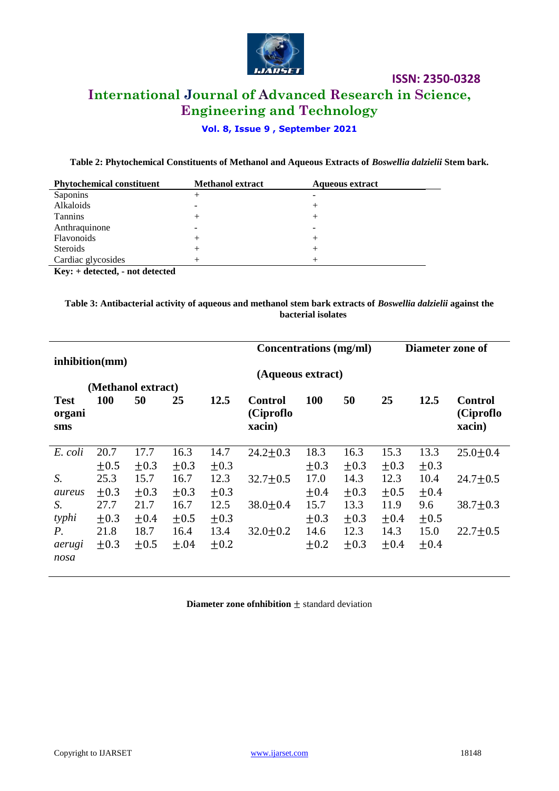

**ISSN: 2350-0328 International Journal of Advanced Research in Science, Engineering and Technology**

### **Vol. 8, Issue 9 , September 2021**

**Table 2: Phytochemical Constituents of Methanol and Aqueous Extracts of** *Boswellia dalzielii* **Stem bark.**

| <b>Phytochemical constituent</b>         | <b>Methanol extract</b> | <b>Aqueous extract</b> |
|------------------------------------------|-------------------------|------------------------|
| Saponins                                 |                         |                        |
| Alkaloids                                |                         | +                      |
| <b>Tannins</b>                           |                         | +                      |
| Anthraquinone                            |                         |                        |
| Flavonoids                               |                         | +                      |
| <b>Steroids</b>                          |                         | +                      |
| Cardiac glycosides                       |                         | $^+$                   |
| $\mathbf{r}$ . The state of $\mathbf{r}$ |                         |                        |

**Key: + detected, - not detected** 

**Table 3: Antibacterial activity of aqueous and methanol stem bark extracts of** *Boswellia dalzielii* **against the bacterial isolates**

|                    |            |           |           |           |                | <b>Concentrations</b> (mg/ml) |           | Diameter zone of |           |                |
|--------------------|------------|-----------|-----------|-----------|----------------|-------------------------------|-----------|------------------|-----------|----------------|
| inhibition(mm)     |            |           |           |           |                |                               |           |                  |           |                |
| (Aqueous extract)  |            |           |           |           |                |                               |           |                  |           |                |
| (Methanol extract) |            |           |           |           |                |                               |           |                  |           |                |
| <b>Test</b>        | <b>100</b> | 50        | 25        | 12.5      | <b>Control</b> | <b>100</b>                    | 50        | 25               | 12.5      | <b>Control</b> |
| organi             |            |           |           |           | (Ciproflo      |                               |           |                  |           | (Ciproflo      |
| sms                |            |           |           |           | xacin)         |                               |           |                  |           | xacin)         |
|                    |            |           |           |           |                |                               |           |                  |           |                |
| E. coli            | 20.7       | 17.7      | 16.3      | 14.7      | $24.2 \pm 0.3$ | 18.3                          | 16.3      | 15.3             | 13.3      | $25.0 \pm 0.4$ |
|                    | $+0.5$     | $+0.3$    | $+0.3$    | $\pm 0.3$ |                | $+0.3$                        | $+0.3$    | $+0.3$           | $\pm 0.3$ |                |
| S.                 | 25.3       | 15.7      | 16.7      | 12.3      | $32.7 \pm 0.5$ | 17.0                          | 14.3      | 12.3             | 10.4      | $24.7 \pm 0.5$ |
| aureus             | $\pm 0.3$  | $+0.3$    | $\pm 0.3$ | $\pm 0.3$ |                | ±0.4                          | $+0.3$    | $\pm 0.5$        | ±0.4      |                |
| S.                 | 27.7       | 21.7      | 16.7      | 12.5      | $38.0 \pm 0.4$ | 15.7                          | 13.3      | 11.9             | 9.6       | $38.7 \pm 0.3$ |
| typhi              | $\pm 0.3$  | $\pm 0.4$ | $\pm 0.5$ | $\pm 0.3$ |                | $\pm 0.3$                     | $\pm 0.3$ | ±0.4             | $\pm 0.5$ |                |
| P.                 | 21.8       | 18.7      | 16.4      | 13.4      | $32.0 \pm 0.2$ | 14.6                          | 12.3      | 14.3             | 15.0      | $22.7 \pm 0.5$ |
| aerugi             | $\pm 0.3$  | $\pm 0.5$ | ±.04      | $\pm 0.2$ |                | $\pm 0.2$                     | $\pm 0.3$ | ±0.4             | ±0.4      |                |
| nosa               |            |           |           |           |                |                               |           |                  |           |                |
|                    |            |           |           |           |                |                               |           |                  |           |                |

**Diameter zone of nhibition**  $\pm$  standard deviation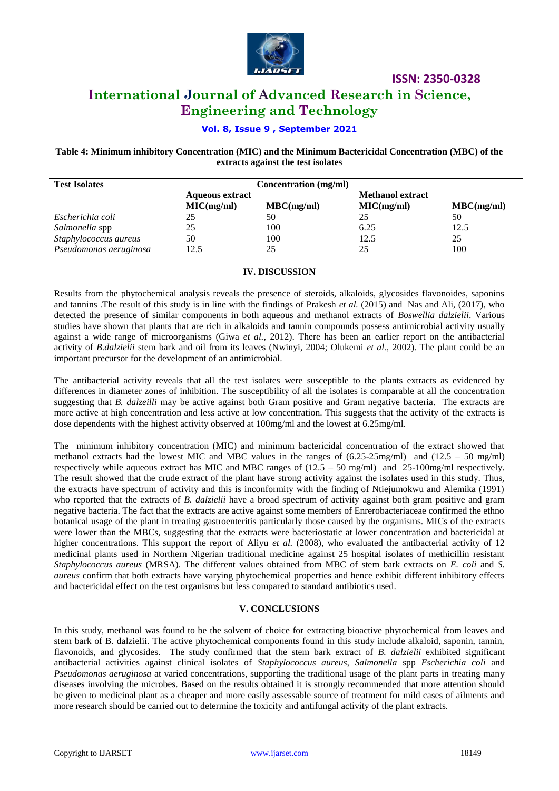

## **International Journal of Advanced Research in Science, Engineering and Technology**

#### **Vol. 8, Issue 9 , September 2021**

**Table 4: Minimum inhibitory Concentration (MIC) and the Minimum Bactericidal Concentration (MBC) of the extracts against the test isolates**

| <b>Test Isolates</b>   | Concentration (mg/ml)  |            |                         |            |  |
|------------------------|------------------------|------------|-------------------------|------------|--|
|                        | <b>Aqueous extract</b> |            | <b>Methanol extract</b> |            |  |
|                        | MIC(mg/ml)             | MBC(mg/ml) | MIC(mg/ml)              | MBC(mg/ml) |  |
| Escherichia coli       | 25                     | 50         | 25                      | 50         |  |
| Salmonella spp         | 25                     | 100        | 6.25                    | 12.5       |  |
| Staphylococcus aureus  | 50                     | 100        | 12.5                    | 25         |  |
| Pseudomonas aeruginosa | 12.5                   | 25         | 25                      | 100        |  |

#### **IV. DISCUSSION**

Results from the phytochemical analysis reveals the presence of steroids, alkaloids, glycosides flavonoides, saponins and tannins .The result of this study is in line with the findings of Prakesh *et al.* (2015) and Nas and Ali, (2017), who detected the presence of similar components in both aqueous and methanol extracts of *Boswellia dalzielii*. Various studies have shown that plants that are rich in alkaloids and tannin compounds possess antimicrobial activity usually against a wide range of microorganisms (Giwa *et al.,* 2012). There has been an earlier report on the antibacterial activity of *B*.*dalzielii* stem bark and oil from its leaves (Nwinyi, 2004; Olukemi *et al.,* 2002). The plant could be an important precursor for the development of an antimicrobial.

The antibacterial activity reveals that all the test isolates were susceptible to the plants extracts as evidenced by differences in diameter zones of inhibition. The susceptibility of all the isolates is comparable at all the concentration suggesting that *B. dalzeilli* may be active against both Gram positive and Gram negative bacteria. The extracts are more active at high concentration and less active at low concentration. This suggests that the activity of the extracts is dose dependents with the highest activity observed at 100mg/ml and the lowest at 6.25mg/ml.

The minimum inhibitory concentration (MIC) and minimum bactericidal concentration of the extract showed that methanol extracts had the lowest MIC and MBC values in the ranges of  $(6.25-25mg/ml)$  and  $(12.5 - 50 mg/ml)$ respectively while aqueous extract has MIC and MBC ranges of (12.5 – 50 mg/ml) and 25-100mg/ml respectively. The result showed that the crude extract of the plant have strong activity against the isolates used in this study. Thus, the extracts have spectrum of activity and this is inconformity with the finding of Ntiejumokwu and Alemika (1991) who reported that the extracts of *B. dalzielii* have a broad spectrum of activity against both gram positive and gram negative bacteria. The fact that the extracts are active against some members of Enrerobacteriaceae confirmed the ethno botanical usage of the plant in treating gastroenteritis particularly those caused by the organisms. MICs of the extracts were lower than the MBCs, suggesting that the extracts were bacteriostatic at lower concentration and bactericidal at higher concentrations. This support the report of Aliyu *et al.* (2008), who evaluated the antibacterial activity of 12 medicinal plants used in Northern Nigerian traditional medicine against 25 hospital isolates of methicillin resistant *Staphylococcus aureus* (MRSA). The different values obtained from MBC of stem bark extracts on *E. coli* and *S. aureus* confirm that both extracts have varying phytochemical properties and hence exhibit different inhibitory effects and bactericidal effect on the test organisms but less compared to standard antibiotics used.

#### **V. CONCLUSIONS**

In this study, methanol was found to be the solvent of choice for extracting bioactive phytochemical from leaves and stem bark of B. dalzielii. The active phytochemical components found in this study include alkaloid, saponin, tannin, flavonoids, and glycosides. The study confirmed that the stem bark extract of *B. dalzielii* exhibited significant antibacterial activities against clinical isolates of *Staphylococcus aureus, Salmonella* spp *Escherichia coli* and *Pseudomonas aeruginosa* at varied concentrations, supporting the traditional usage of the plant parts in treating many diseases involving the microbes. Based on the results obtained it is strongly recommended that more attention should be given to medicinal plant as a cheaper and more easily assessable source of treatment for mild cases of ailments and more research should be carried out to determine the toxicity and antifungal activity of the plant extracts.